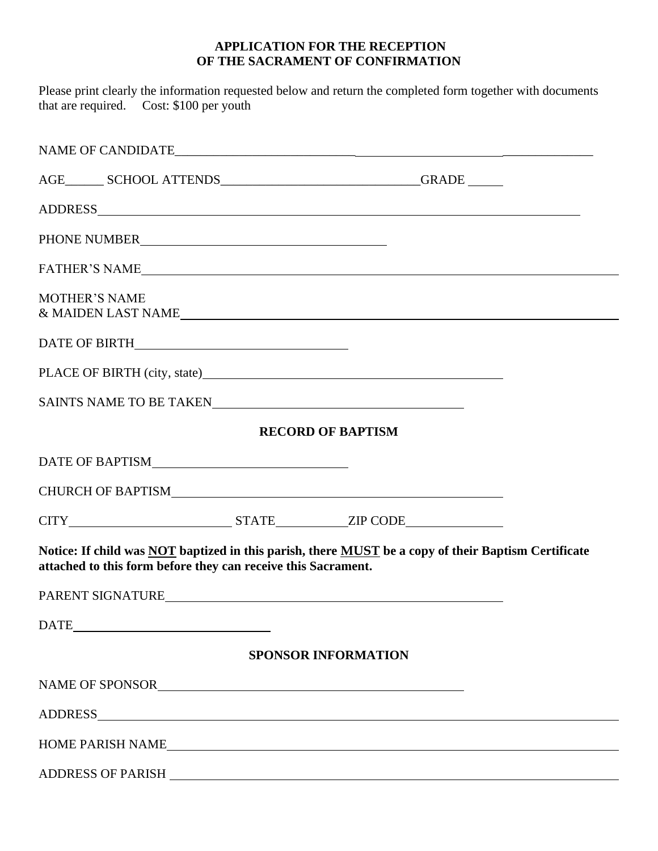## **APPLICATION FOR THE RECEPTION OF THE SACRAMENT OF CONFIRMATION**

Please print clearly the information requested below and return the completed form together with documents that are required. Cost: \$100 per youth

|             |                                                                                   |                            | NAME OF CANDIDATE                                                                                              |
|-------------|-----------------------------------------------------------------------------------|----------------------------|----------------------------------------------------------------------------------------------------------------|
|             | AGE________ SCHOOL ATTENDS___________________________________GRADE ______________ |                            |                                                                                                                |
|             |                                                                                   |                            |                                                                                                                |
|             | PHONE NUMBER                                                                      |                            |                                                                                                                |
|             | FATHER'S NAME                                                                     |                            |                                                                                                                |
|             | <b>MOTHER'S NAME</b><br>& MAIDEN LAST NAME                                        |                            |                                                                                                                |
|             |                                                                                   |                            |                                                                                                                |
|             |                                                                                   |                            |                                                                                                                |
|             | SAINTS NAME TO BE TAKENNALL AND THE SAINTS NAME TO BE TAKEN                       |                            |                                                                                                                |
|             |                                                                                   | <b>RECORD OF BAPTISM</b>   |                                                                                                                |
|             |                                                                                   |                            |                                                                                                                |
|             |                                                                                   |                            |                                                                                                                |
|             |                                                                                   |                            |                                                                                                                |
|             | attached to this form before they can receive this Sacrament.                     |                            | Notice: If child was NOT baptized in this parish, there MUST be a copy of their Baptism Certificate            |
|             | PARENT SIGNATURE                                                                  |                            |                                                                                                                |
| <b>DATE</b> |                                                                                   |                            |                                                                                                                |
|             |                                                                                   | <b>SPONSOR INFORMATION</b> |                                                                                                                |
|             |                                                                                   |                            |                                                                                                                |
|             |                                                                                   |                            | ADDRESS AND ARRIVE AND ARRIVE AND ARRIVE AND ARRIVE AND ARRIVE AND ARRIVE AND ARRIVE AND ARRIVE AND ARRIVE AND |
|             |                                                                                   |                            |                                                                                                                |
|             | ADDRESS OF PARISH NAME AND RESIDENCE OF PARISH                                    |                            |                                                                                                                |